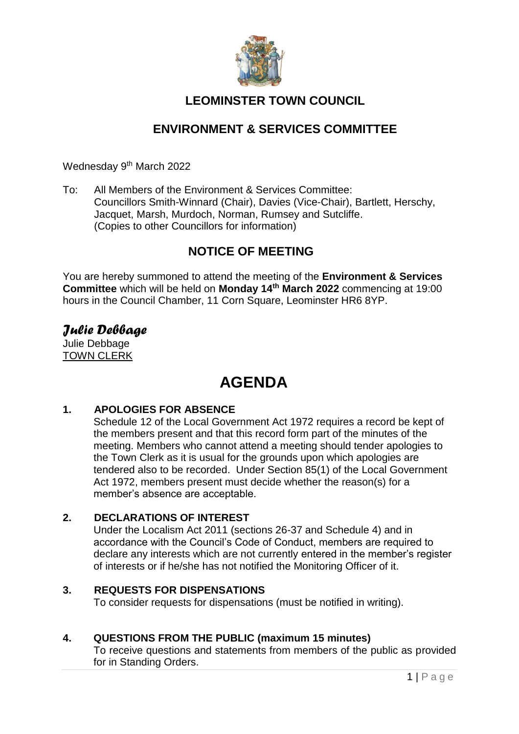

## **LEOMINSTER TOWN COUNCIL**

## **ENVIRONMENT & SERVICES COMMITTEE**

Wednesday 9<sup>th</sup> March 2022

To: All Members of the Environment & Services Committee: Councillors Smith-Winnard (Chair), Davies (Vice-Chair), Bartlett, Herschy, Jacquet, Marsh, Murdoch, Norman, Rumsey and Sutcliffe. (Copies to other Councillors for information)

## **NOTICE OF MEETING**

You are hereby summoned to attend the meeting of the **Environment & Services Committee** which will be held on **Monday 14 th March 2022** commencing at 19:00 hours in the Council Chamber, 11 Corn Square, Leominster HR6 8YP.

# *Julie Debbage*

Julie Debbage TOWN CLERK

## **AGENDA**

#### **1. APOLOGIES FOR ABSENCE**

Schedule 12 of the Local Government Act 1972 requires a record be kept of the members present and that this record form part of the minutes of the meeting. Members who cannot attend a meeting should tender apologies to the Town Clerk as it is usual for the grounds upon which apologies are tendered also to be recorded. Under Section 85(1) of the Local Government Act 1972, members present must decide whether the reason(s) for a member's absence are acceptable.

#### **2. DECLARATIONS OF INTEREST**

Under the Localism Act 2011 (sections 26-37 and Schedule 4) and in accordance with the Council's Code of Conduct, members are required to declare any interests which are not currently entered in the member's register of interests or if he/she has not notified the Monitoring Officer of it.

#### **3. REQUESTS FOR DISPENSATIONS**

To consider requests for dispensations (must be notified in writing).

## **4. QUESTIONS FROM THE PUBLIC (maximum 15 minutes)**

To receive questions and statements from members of the public as provided for in Standing Orders.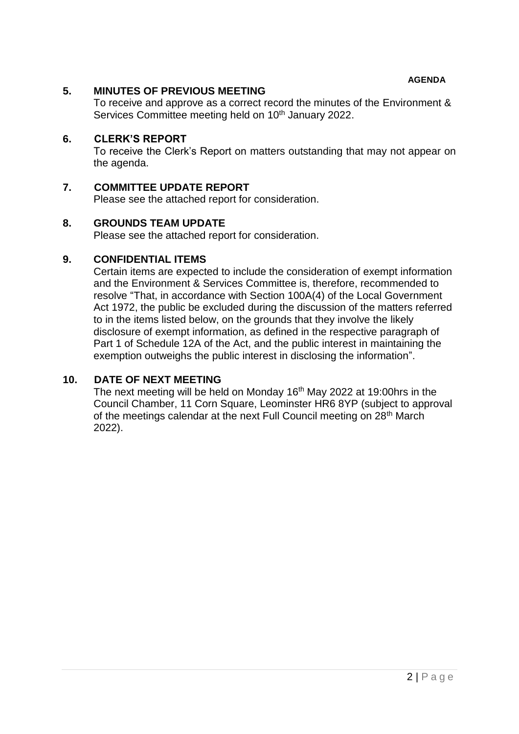**AGENDA**

#### **5. MINUTES OF PREVIOUS MEETING**

To receive and approve as a correct record the minutes of the Environment & Services Committee meeting held on 10<sup>th</sup> January 2022.

#### **6. CLERK'S REPORT**

To receive the Clerk's Report on matters outstanding that may not appear on the agenda.

#### **7. COMMITTEE UPDATE REPORT**

Please see the attached report for consideration.

#### **8. GROUNDS TEAM UPDATE**

Please see the attached report for consideration.

#### **9. CONFIDENTIAL ITEMS**

Certain items are expected to include the consideration of exempt information and the Environment & Services Committee is, therefore, recommended to resolve "That, in accordance with Section 100A(4) of the Local Government Act 1972, the public be excluded during the discussion of the matters referred to in the items listed below, on the grounds that they involve the likely disclosure of exempt information, as defined in the respective paragraph of Part 1 of Schedule 12A of the Act, and the public interest in maintaining the exemption outweighs the public interest in disclosing the information".

#### **10. DATE OF NEXT MEETING**

The next meeting will be held on Monday  $16<sup>th</sup>$  May 2022 at 19:00hrs in the Council Chamber, 11 Corn Square, Leominster HR6 8YP (subject to approval of the meetings calendar at the next Full Council meeting on 28<sup>th</sup> March 2022).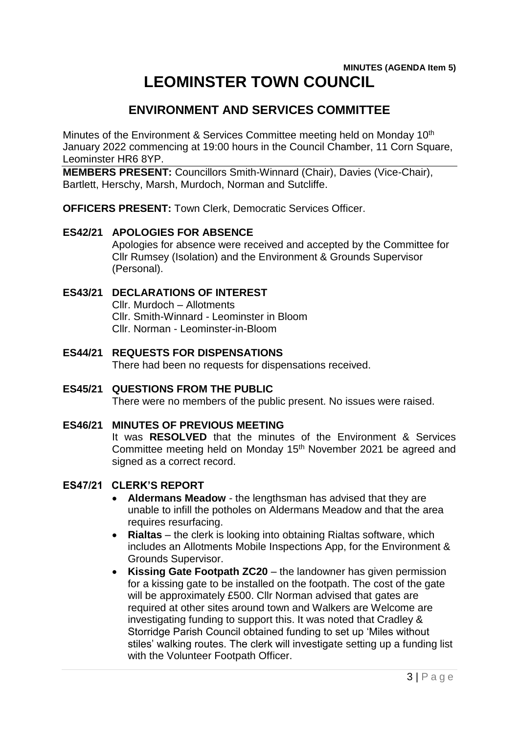## **MINUTES (AGENDA Item 5) LEOMINSTER TOWN COUNCIL**

## **ENVIRONMENT AND SERVICES COMMITTEE**

Minutes of the Environment & Services Committee meeting held on Monday 10<sup>th</sup> January 2022 commencing at 19:00 hours in the Council Chamber, 11 Corn Square, Leominster HR6 8YP.

**MEMBERS PRESENT:** Councillors Smith-Winnard (Chair), Davies (Vice-Chair), Bartlett, Herschy, Marsh, Murdoch, Norman and Sutcliffe.

**OFFICERS PRESENT:** Town Clerk, Democratic Services Officer.

#### **ES42/21 APOLOGIES FOR ABSENCE**

Apologies for absence were received and accepted by the Committee for Cllr Rumsey (Isolation) and the Environment & Grounds Supervisor (Personal).

#### **ES43/21 DECLARATIONS OF INTEREST**

Cllr. Murdoch – Allotments Cllr. Smith-Winnard - Leominster in Bloom Cllr. Norman - Leominster-in-Bloom

- **ES44/21 REQUESTS FOR DISPENSATIONS** There had been no requests for dispensations received.
- **ES45/21 QUESTIONS FROM THE PUBLIC** There were no members of the public present. No issues were raised.
- **ES46/21 MINUTES OF PREVIOUS MEETING** It was **RESOLVED** that the minutes of the Environment & Services

Committee meeting held on Monday 15<sup>th</sup> November 2021 be agreed and signed as a correct record.

## **ES47/21 CLERK'S REPORT**

- **Aldermans Meadow** the lengthsman has advised that they are unable to infill the potholes on Aldermans Meadow and that the area requires resurfacing.
- **Rialtas**  the clerk is looking into obtaining Rialtas software, which includes an Allotments Mobile Inspections App, for the Environment & Grounds Supervisor.
- **Kissing Gate Footpath ZC20**  the landowner has given permission for a kissing gate to be installed on the footpath. The cost of the gate will be approximately £500. Cllr Norman advised that gates are required at other sites around town and Walkers are Welcome are investigating funding to support this. It was noted that Cradley & Storridge Parish Council obtained funding to set up 'Miles without stiles' walking routes. The clerk will investigate setting up a funding list with the Volunteer Footpath Officer.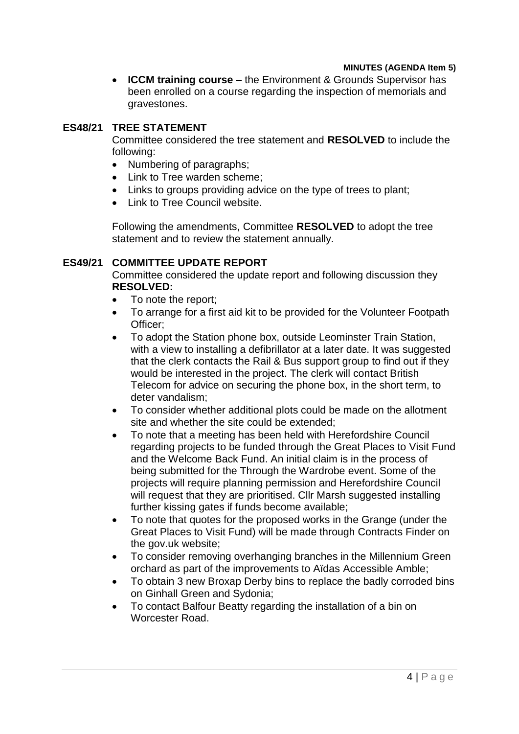#### **MINUTES (AGENDA Item 5)**

**ICCM training course** – the Environment & Grounds Supervisor has been enrolled on a course regarding the inspection of memorials and gravestones.

#### **ES48/21 TREE STATEMENT**

Committee considered the tree statement and **RESOLVED** to include the following:

- Numbering of paragraphs;
- Link to Tree warden scheme:
- Links to groups providing advice on the type of trees to plant:
- Link to Tree Council website.

Following the amendments, Committee **RESOLVED** to adopt the tree statement and to review the statement annually.

#### **ES49/21 COMMITTEE UPDATE REPORT**

Committee considered the update report and following discussion they **RESOLVED:**

- To note the report;
- To arrange for a first aid kit to be provided for the Volunteer Footpath Officer;
- To adopt the Station phone box, outside Leominster Train Station, with a view to installing a defibrillator at a later date. It was suggested that the clerk contacts the Rail & Bus support group to find out if they would be interested in the project. The clerk will contact British Telecom for advice on securing the phone box, in the short term, to deter vandalism;
- To consider whether additional plots could be made on the allotment site and whether the site could be extended;
- To note that a meeting has been held with Herefordshire Council regarding projects to be funded through the Great Places to Visit Fund and the Welcome Back Fund. An initial claim is in the process of being submitted for the Through the Wardrobe event. Some of the projects will require planning permission and Herefordshire Council will request that they are prioritised. Cllr Marsh suggested installing further kissing gates if funds become available;
- To note that quotes for the proposed works in the Grange (under the Great Places to Visit Fund) will be made through Contracts Finder on the gov.uk website;
- To consider removing overhanging branches in the Millennium Green orchard as part of the improvements to Aïdas Accessible Amble;
- To obtain 3 new Broxap Derby bins to replace the badly corroded bins on Ginhall Green and Sydonia;
- To contact Balfour Beatty regarding the installation of a bin on Worcester Road.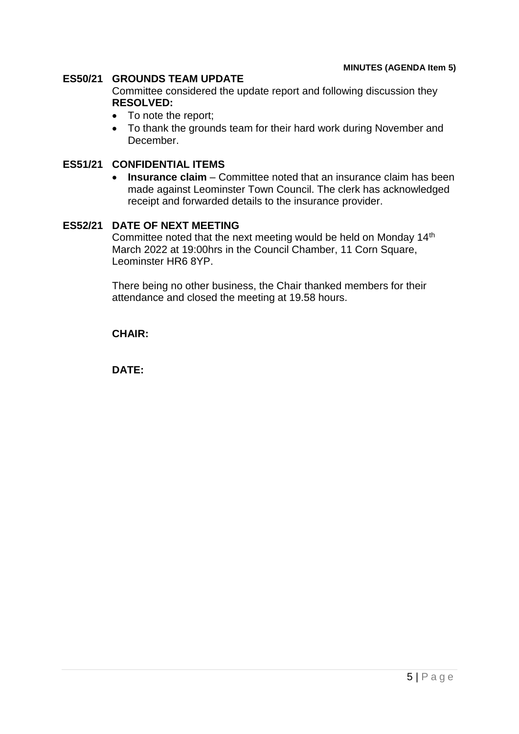#### **ES50/21 GROUNDS TEAM UPDATE**

Committee considered the update report and following discussion they **RESOLVED:**

- To note the report;
- To thank the grounds team for their hard work during November and December.

## **ES51/21 CONFIDENTIAL ITEMS**

**Insurance claim** – Committee noted that an insurance claim has been made against Leominster Town Council. The clerk has acknowledged receipt and forwarded details to the insurance provider.

## **ES52/21 DATE OF NEXT MEETING**

Committee noted that the next meeting would be held on Monday 14<sup>th</sup> March 2022 at 19:00hrs in the Council Chamber, 11 Corn Square, Leominster HR6 8YP.

There being no other business, the Chair thanked members for their attendance and closed the meeting at 19.58 hours.

**CHAIR:**

**DATE:**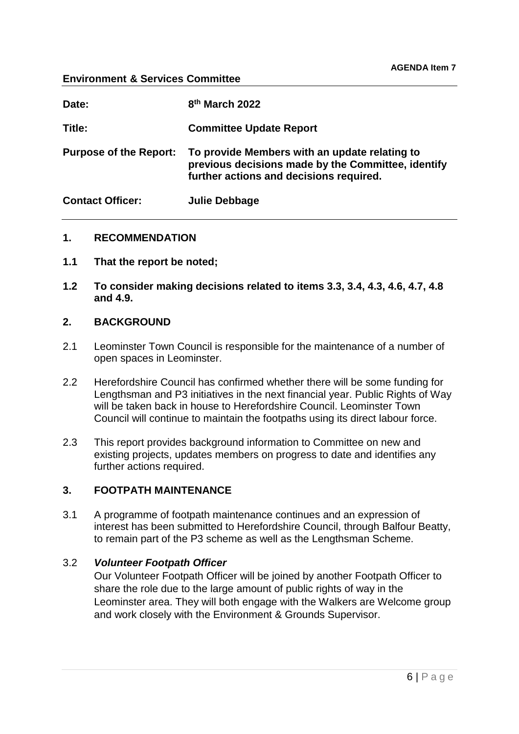#### **Environment & Services Committee**

| Date:                         | 8 <sup>th</sup> March 2022                                                                                                                     |
|-------------------------------|------------------------------------------------------------------------------------------------------------------------------------------------|
| Title:                        | <b>Committee Update Report</b>                                                                                                                 |
| <b>Purpose of the Report:</b> | To provide Members with an update relating to<br>previous decisions made by the Committee, identify<br>further actions and decisions required. |
| <b>Contact Officer:</b>       | Julie Debbage                                                                                                                                  |

#### **1. RECOMMENDATION**

- **1.1 That the report be noted;**
- **1.2 To consider making decisions related to items 3.3, 3.4, 4.3, 4.6, 4.7, 4.8 and 4.9.**

#### **2. BACKGROUND**

- 2.1 Leominster Town Council is responsible for the maintenance of a number of open spaces in Leominster.
- 2.2 Herefordshire Council has confirmed whether there will be some funding for Lengthsman and P3 initiatives in the next financial year. Public Rights of Way will be taken back in house to Herefordshire Council. Leominster Town Council will continue to maintain the footpaths using its direct labour force.
- 2.3 This report provides background information to Committee on new and existing projects, updates members on progress to date and identifies any further actions required.

#### **3. FOOTPATH MAINTENANCE**

3.1 A programme of footpath maintenance continues and an expression of interest has been submitted to Herefordshire Council, through Balfour Beatty, to remain part of the P3 scheme as well as the Lengthsman Scheme.

#### 3.2 *Volunteer Footpath Officer*

Our Volunteer Footpath Officer will be joined by another Footpath Officer to share the role due to the large amount of public rights of way in the Leominster area. They will both engage with the Walkers are Welcome group and work closely with the Environment & Grounds Supervisor.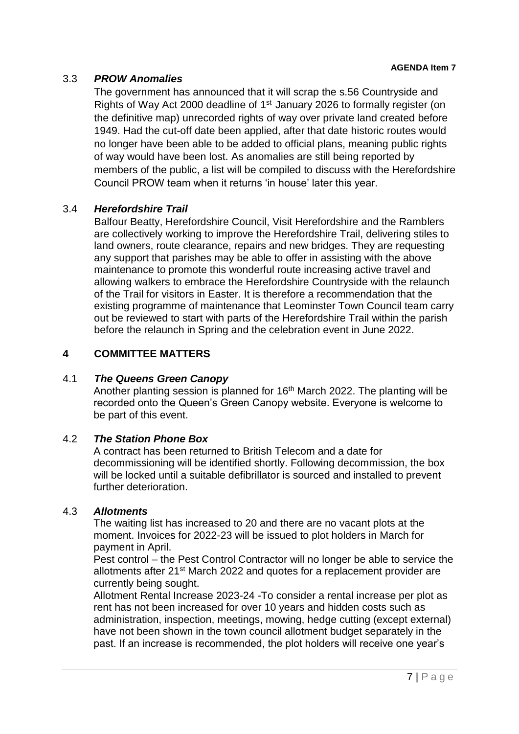## 3.3 *PROW Anomalies*

The government has announced that it will scrap the s.56 Countryside and Rights of Way Act 2000 deadline of 1<sup>st</sup> January 2026 to formally register (on the definitive map) unrecorded rights of way over private land created before 1949. Had the cut-off date been applied, after that date historic routes would no longer have been able to be added to official plans, meaning public rights of way would have been lost. As anomalies are still being reported by members of the public, a list will be compiled to discuss with the Herefordshire Council PROW team when it returns 'in house' later this year.

## 3.4 *Herefordshire Trail*

Balfour Beatty, Herefordshire Council, Visit Herefordshire and the Ramblers are collectively working to improve the Herefordshire Trail, delivering stiles to land owners, route clearance, repairs and new bridges. They are requesting any support that parishes may be able to offer in assisting with the above maintenance to promote this wonderful route increasing active travel and allowing walkers to embrace the Herefordshire Countryside with the relaunch of the Trail for visitors in Easter. It is therefore a recommendation that the existing programme of maintenance that Leominster Town Council team carry out be reviewed to start with parts of the Herefordshire Trail within the parish before the relaunch in Spring and the celebration event in June 2022.

## **4 COMMITTEE MATTERS**

## 4.1 *The Queens Green Canopy*

Another planting session is planned for 16<sup>th</sup> March 2022. The planting will be recorded onto the Queen's Green Canopy website. Everyone is welcome to be part of this event.

## 4.2 *The Station Phone Box*

A contract has been returned to British Telecom and a date for decommissioning will be identified shortly. Following decommission, the box will be locked until a suitable defibrillator is sourced and installed to prevent further deterioration.

#### 4.3 *Allotments*

The waiting list has increased to 20 and there are no vacant plots at the moment. Invoices for 2022-23 will be issued to plot holders in March for payment in April.

Pest control – the Pest Control Contractor will no longer be able to service the allotments after 21<sup>st</sup> March 2022 and quotes for a replacement provider are currently being sought.

Allotment Rental Increase 2023-24 -To consider a rental increase per plot as rent has not been increased for over 10 years and hidden costs such as administration, inspection, meetings, mowing, hedge cutting (except external) have not been shown in the town council allotment budget separately in the past. If an increase is recommended, the plot holders will receive one year's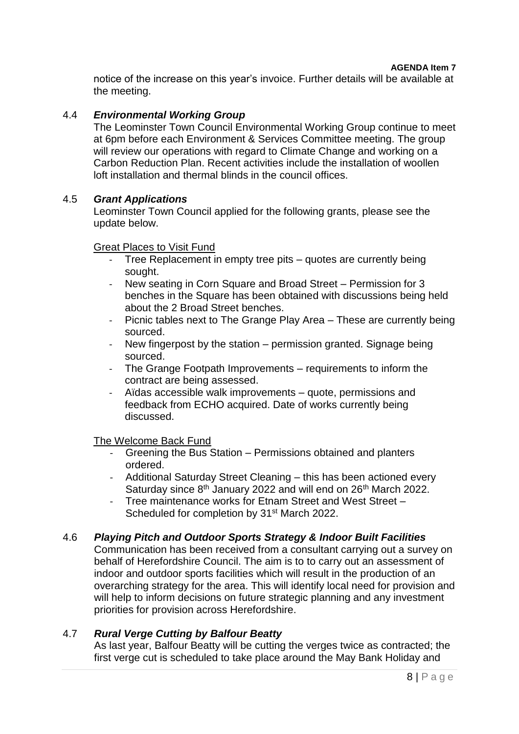notice of the increase on this year's invoice. Further details will be available at the meeting.

#### 4.4 *Environmental Working Group*

The Leominster Town Council Environmental Working Group continue to meet at 6pm before each Environment & Services Committee meeting. The group will review our operations with regard to Climate Change and working on a Carbon Reduction Plan. Recent activities include the installation of woollen loft installation and thermal blinds in the council offices.

#### 4.5 *Grant Applications*

Leominster Town Council applied for the following grants, please see the update below.

#### Great Places to Visit Fund

- Tree Replacement in empty tree pits quotes are currently being sought.
- New seating in Corn Square and Broad Street Permission for 3 benches in the Square has been obtained with discussions being held about the 2 Broad Street benches.
- Picnic tables next to The Grange Play Area These are currently being sourced.
- New fingerpost by the station permission granted. Signage being sourced.
- The Grange Footpath Improvements requirements to inform the contract are being assessed.
- Aïdas accessible walk improvements quote, permissions and feedback from ECHO acquired. Date of works currently being discussed.

#### The Welcome Back Fund

- Greening the Bus Station Permissions obtained and planters ordered.
- Additional Saturday Street Cleaning this has been actioned every Saturday since 8<sup>th</sup> January 2022 and will end on 26<sup>th</sup> March 2022.
- Tree maintenance works for Etnam Street and West Street Scheduled for completion by 31<sup>st</sup> March 2022.

#### 4.6 *Playing Pitch and Outdoor Sports Strategy & Indoor Built Facilities*

Communication has been received from a consultant carrying out a survey on behalf of Herefordshire Council. The aim is to to carry out an assessment of indoor and outdoor sports facilities which will result in the production of an overarching strategy for the area. This will identify local need for provision and will help to inform decisions on future strategic planning and any investment priorities for provision across Herefordshire.

#### 4.7 *Rural Verge Cutting by Balfour Beatty*

As last year, Balfour Beatty will be cutting the verges twice as contracted; the first verge cut is scheduled to take place around the May Bank Holiday and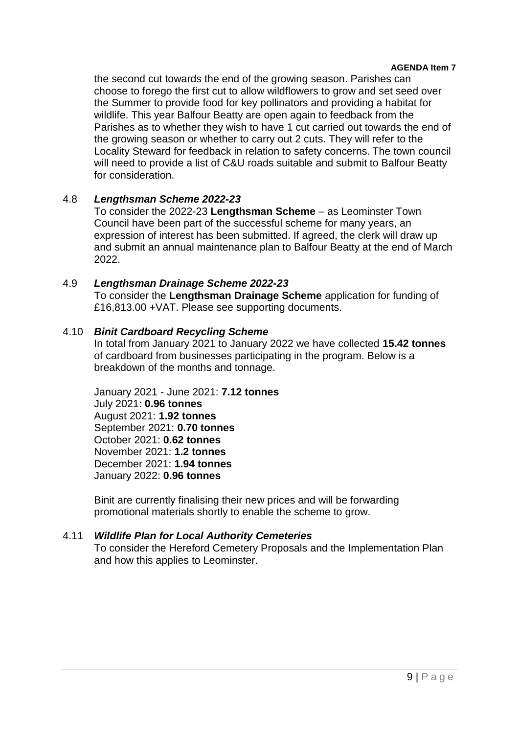#### **AGENDA Item 7**

the second cut towards the end of the growing season. Parishes can choose to forego the first cut to allow wildflowers to grow and set seed over the Summer to provide food for key pollinators and providing a habitat for wildlife. This year Balfour Beatty are open again to feedback from the Parishes as to whether they wish to have 1 cut carried out towards the end of the growing season or whether to carry out 2 cuts. They will refer to the Locality Steward for feedback in relation to safety concerns. The town council will need to provide a list of C&U roads suitable and submit to Balfour Beatty for consideration.

#### 4.8 *Lengthsman Scheme 2022-23*

To consider the 2022-23 **Lengthsman Scheme** – as Leominster Town Council have been part of the successful scheme for many years, an expression of interest has been submitted. If agreed, the clerk will draw up and submit an annual maintenance plan to Balfour Beatty at the end of March 2022.

#### 4.9 *Lengthsman Drainage Scheme 2022-23*

To consider the **Lengthsman Drainage Scheme** application for funding of £16,813.00 +VAT. Please see supporting documents.

#### 4.10 *Binit Cardboard Recycling Scheme*

In total from January 2021 to January 2022 we have collected **15.42 tonnes** of cardboard from businesses participating in the program. Below is a breakdown of the months and tonnage.

January 2021 - June 2021: **7.12 tonnes** July 2021: **0.96 tonnes** August 2021: **1.92 tonnes** September 2021: **0.70 tonnes** October 2021: **0.62 tonnes** November 2021: **1.2 tonnes** December 2021: **1.94 tonnes** January 2022: **0.96 tonnes**

Binit are currently finalising their new prices and will be forwarding promotional materials shortly to enable the scheme to grow.

#### 4.11 *Wildlife Plan for Local Authority Cemeteries*

To consider the Hereford Cemetery Proposals and the Implementation Plan and how this applies to Leominster.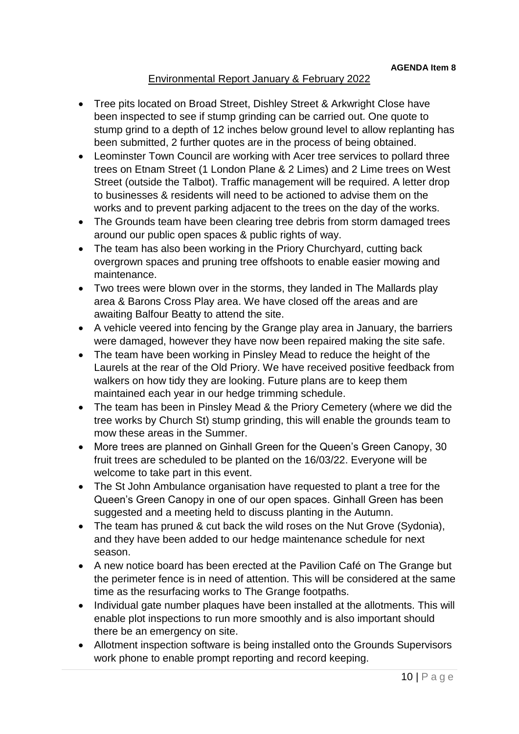## Environmental Report January & February 2022

- Tree pits located on Broad Street, Dishley Street & Arkwright Close have been inspected to see if stump grinding can be carried out. One quote to stump grind to a depth of 12 inches below ground level to allow replanting has been submitted, 2 further quotes are in the process of being obtained.
- Leominster Town Council are working with Acer tree services to pollard three trees on Etnam Street (1 London Plane & 2 Limes) and 2 Lime trees on West Street (outside the Talbot). Traffic management will be required. A letter drop to businesses & residents will need to be actioned to advise them on the works and to prevent parking adjacent to the trees on the day of the works.
- The Grounds team have been clearing tree debris from storm damaged trees around our public open spaces & public rights of way.
- The team has also been working in the Priory Churchyard, cutting back overgrown spaces and pruning tree offshoots to enable easier mowing and maintenance.
- Two trees were blown over in the storms, they landed in The Mallards play area & Barons Cross Play area. We have closed off the areas and are awaiting Balfour Beatty to attend the site.
- A vehicle veered into fencing by the Grange play area in January, the barriers were damaged, however they have now been repaired making the site safe.
- The team have been working in Pinsley Mead to reduce the height of the Laurels at the rear of the Old Priory. We have received positive feedback from walkers on how tidy they are looking. Future plans are to keep them maintained each year in our hedge trimming schedule.
- The team has been in Pinsley Mead & the Priory Cemetery (where we did the tree works by Church St) stump grinding, this will enable the grounds team to mow these areas in the Summer.
- More trees are planned on Ginhall Green for the Queen's Green Canopy, 30 fruit trees are scheduled to be planted on the 16/03/22. Everyone will be welcome to take part in this event.
- The St John Ambulance organisation have requested to plant a tree for the Queen's Green Canopy in one of our open spaces. Ginhall Green has been suggested and a meeting held to discuss planting in the Autumn.
- The team has pruned & cut back the wild roses on the Nut Grove (Sydonia), and they have been added to our hedge maintenance schedule for next season.
- A new notice board has been erected at the Pavilion Café on The Grange but the perimeter fence is in need of attention. This will be considered at the same time as the resurfacing works to The Grange footpaths.
- Individual gate number plaques have been installed at the allotments. This will enable plot inspections to run more smoothly and is also important should there be an emergency on site.
- Allotment inspection software is being installed onto the Grounds Supervisors work phone to enable prompt reporting and record keeping.